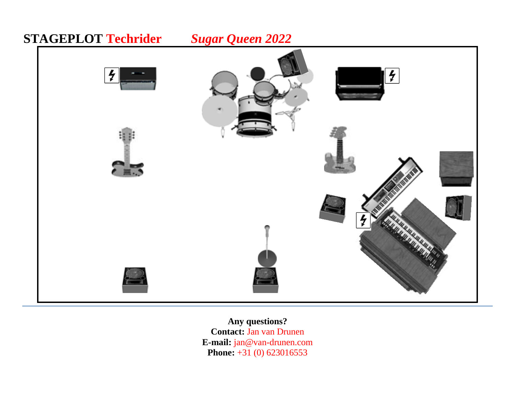

**Any questions? Contact:** Jan van Drunen **E-mail:** jan@van-drunen.com **Phone:** +31 (0) 623016553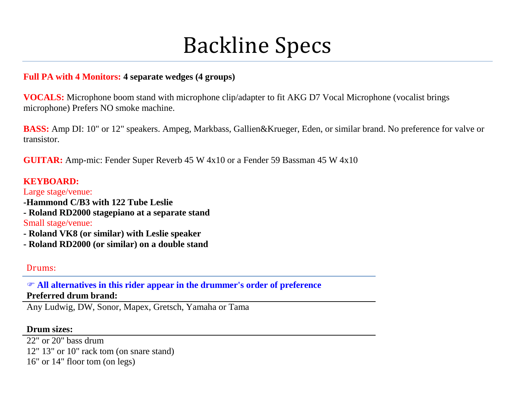# Backline Specs

# **Full PA with 4 Monitors: 4 separate wedges (4 groups)**

**VOCALS:** Microphone boom stand with microphone clip/adapter to fit AKG D7 Vocal Microphone (vocalist brings microphone) Prefers NO smoke machine.

**BASS:** Amp DI: 10" or 12" speakers. Ampeg, Markbass, Gallien&Krueger, Eden, or similar brand. No preference for valve or transistor.

**GUITAR:** Amp-mic: Fender Super Reverb 45 W 4x10 or a Fender 59 Bassman 45 W 4x10

### **KEYBOARD:**

Large stage/venue:

- **-Hammond C/B3 with 122 Tube Leslie**
- **- Roland RD2000 stagepiano at a separate stand**

#### Small stage/venue:

- **- Roland VK8 (or similar) with Leslie speaker**
- **- Roland RD2000 (or similar) on a double stand**

# Drums:

 **All alternatives in this rider appear in the drummer's order of preference Preferred drum brand:**

Any Ludwig, DW, Sonor, Mapex, Gretsch, Yamaha or Tama

# **Drum sizes:**

22" or 20" bass drum

12" 13" or 10" rack tom (on snare stand)

16" or 14" floor tom (on legs)